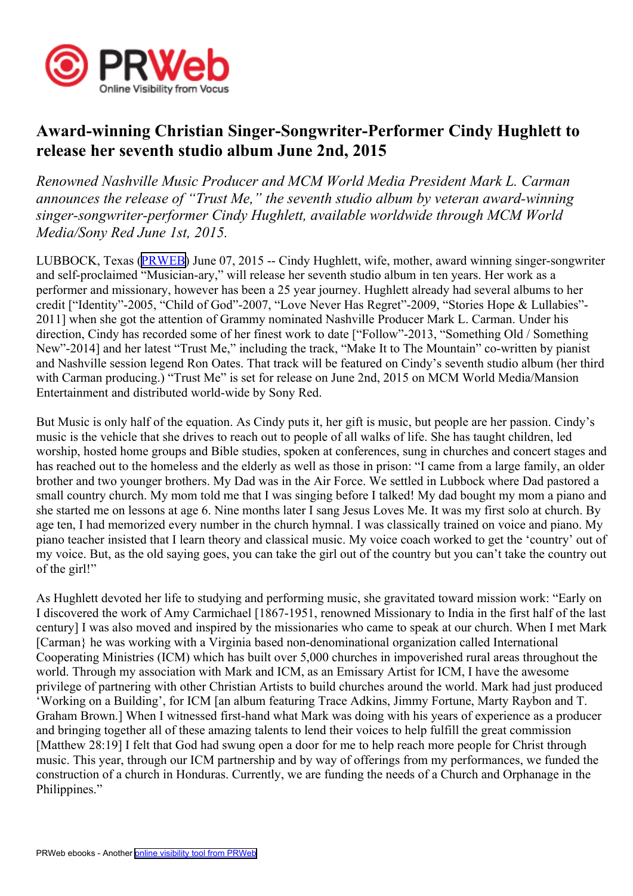

## **Award-winning Christian Singer-Songwriter-Performer Cindy Hughlett to release her seventh studio album June 2nd, 2015**

*Renowned Nashville Music Producer and MCM World Media President Mark L. Carman announces the release of "Trust Me," the seventh studio album by veteran award-winning singer-songwriter-performer Cindy Hughlett, available worldwide through MCM World Media/Sony Red June 1st, 2015.*

LUBBOCK, Texas ([PRWEB](http://www.prweb.com)) June 07, 2015 -- Cindy Hughlett, wife, mother, award winning singer-songwriter and self-proclaimed "Musician-ary," will release her seventh studio album in ten years. Her work as <sup>a</sup> performer and missionary, however has been <sup>a</sup> 25 year journey. Hughlett already had several albums to her credit ["Identity"-2005, "Child of God"-2007, "Love Never Has Regret"-2009, "Stories Hope & Lullabies"- 2011] when she go<sup>t</sup> the attention of Grammy nominated Nashville Producer Mark L. Carman. Under his direction, Cindy has recorded some of her finest work to date ["Follow"-2013, "Something Old / Something New"-2014] and her latest "Trust Me," including the track, "Make It to The Mountain" co-written by pianist and Nashville session legend Ron Oates. That track will be featured on Cindy's seventh studio album (her third with Carman producing.) "Trust Me" is set for release on June 2nd, 2015 on MCM World Media/Mansion Entertainment and distributed world-wide by Sony Red.

But Music is only half of the equation. As Cindy puts it, her gift is music, but people are her passion. Cindy's music is the vehicle that she drives to reach out to people of all walks of life. She has taught children, led worship, hosted home groups and Bible studies, spoken at conferences, sung in churches and concert stages and has reached out to the homeless and the elderly as well as those in prison: "I came from <sup>a</sup> large family, an older brother and two younger brothers. My Dad was in the Air Force. We settled in Lubbock where Dad pastored <sup>a</sup> small country church. My mom told me that I was singing before I talked! My dad bought my mom <sup>a</sup> piano and she started me on lessons at age 6. Nine months later I sang Jesus Loves Me. It was my first solo at church. By age ten, I had memorized every number in the church hymnal. I was classically trained on voice and piano. My piano teacher insisted that I learn theory and classical music. My voice coach worked to ge<sup>t</sup> the 'country' out of my voice. But, as the old saying goes, you can take the girl out of the country but you can't take the country out of the girl!"

As Hughlett devoted her life to studying and performing music, she gravitated toward mission work: "Early on I discovered the work of Amy Carmichael [1867-1951, renowned Missionary to India in the first half of the last century] I was also moved and inspired by the missionaries who came to speak at our church. When I met Mark [Carman} he was working with <sup>a</sup> Virginia based non-denominational organization called International Cooperating Ministries (ICM) which has built over 5,000 churches in impoverished rural areas throughout the world. Through my association with Mark and ICM, as an Emissary Artist for ICM, I have the awesome privilege of partnering with other Christian Artists to build churches around the world. Mark had just produced 'Working on <sup>a</sup> Building', for ICM [an album featuring Trace Adkins, Jimmy Fortune, Marty Raybon and T. Graham Brown.] When I witnessed first-hand what Mark was doing with his years of experience as <sup>a</sup> producer and bringing together all of these amazing talents to lend their voices to help fulfill the grea<sup>t</sup> commission [Matthew 28:19] I felt that God had swung open <sup>a</sup> door for me to help reach more people for Christ through music. This year, through our ICM partnership and by way of offerings from my performances, we funded the construction of <sup>a</sup> church in Honduras. Currently, we are funding the needs of <sup>a</sup> Church and Orphanage in the Philippines."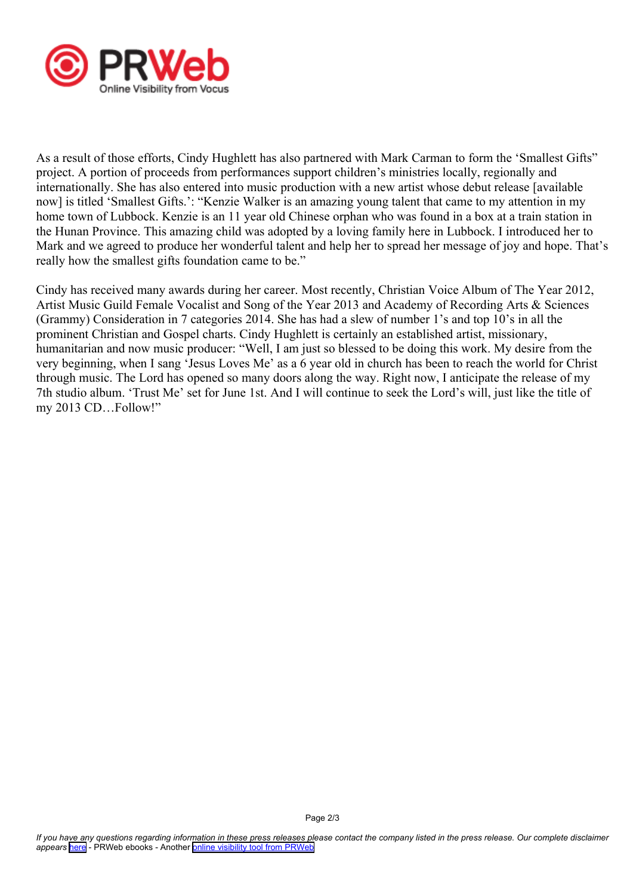

As <sup>a</sup> result of those efforts, Cindy Hughlett has also partnered with Mark Carman to form the 'Smallest Gifts" project. A portion of proceeds from performances suppor<sup>t</sup> children's ministries locally, regionally and internationally. She has also entered into music production with <sup>a</sup> new artist whose debut release [available now] is titled 'Smallest Gifts.': "Kenzie Walker is an amazing young talent that came to my attention in my home town of Lubbock. Kenzie is an 11 year old Chinese orphan who was found in <sup>a</sup> box at <sup>a</sup> train station in the Hunan Province. This amazing child was adopted by <sup>a</sup> loving family here in Lubbock. I introduced her to Mark and we agreed to produce her wonderful talent and help her to spread her message of joy and hope. That's really how the smallest gifts foundation came to be."

Cindy has received many awards during her career. Most recently, Christian Voice Album of The Year 2012, Artist Music Guild Female Vocalist and Song of the Year 2013 and Academy of Recording Arts & Sciences (Grammy) Consideration in 7 categories 2014. She has had <sup>a</sup> slew of number 1's and top 10's in all the prominent Christian and Gospel charts. Cindy Hughlett is certainly an established artist, missionary, humanitarian and now music producer: "Well, I am just so blessed to be doing this work. My desire from the very beginning, when I sang 'Jesus Loves Me' as <sup>a</sup> 6 year old in church has been to reach the world for Christ through music. The Lord has opened so many doors along the way. Right now, I anticipate the release of my 7th studio album. 'Trust Me' set for June 1st. And I will continue to seek the Lord's will, just like the title of my 2013 CD…Follow!"